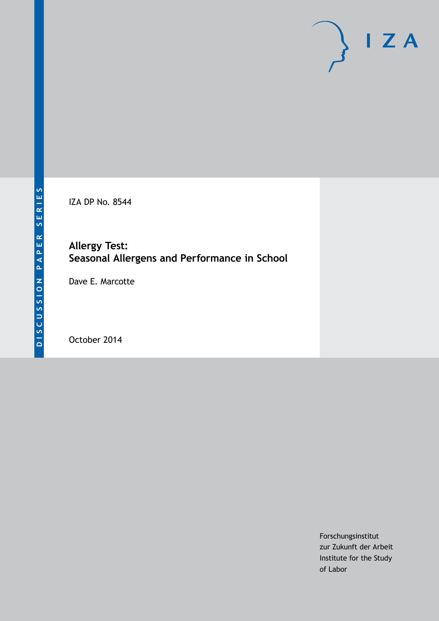

IZA DP No. 8544

# **Allergy Test: Seasonal Allergens and Performance in School**

Dave E. Marcotte

October 2014

Forschungsinstitut zur Zukunft der Arbeit Institute for the Study of Labor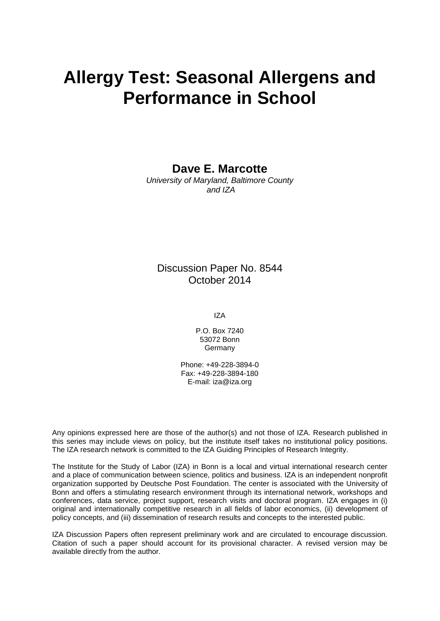# **Allergy Test: Seasonal Allergens and Performance in School**

**Dave E. Marcotte**

*University of Maryland, Baltimore County and IZA*

# Discussion Paper No. 8544 October 2014

IZA

P.O. Box 7240 53072 Bonn **Germany** 

Phone: +49-228-3894-0 Fax: +49-228-3894-180 E-mail: [iza@iza.org](mailto:iza@iza.org)

Any opinions expressed here are those of the author(s) and not those of IZA. Research published in this series may include views on policy, but the institute itself takes no institutional policy positions. The IZA research network is committed to the IZA Guiding Principles of Research Integrity.

The Institute for the Study of Labor (IZA) in Bonn is a local and virtual international research center and a place of communication between science, politics and business. IZA is an independent nonprofit organization supported by Deutsche Post Foundation. The center is associated with the University of Bonn and offers a stimulating research environment through its international network, workshops and conferences, data service, project support, research visits and doctoral program. IZA engages in (i) original and internationally competitive research in all fields of labor economics, (ii) development of policy concepts, and (iii) dissemination of research results and concepts to the interested public.

<span id="page-1-0"></span>IZA Discussion Papers often represent preliminary work and are circulated to encourage discussion. Citation of such a paper should account for its provisional character. A revised version may be available directly from the author.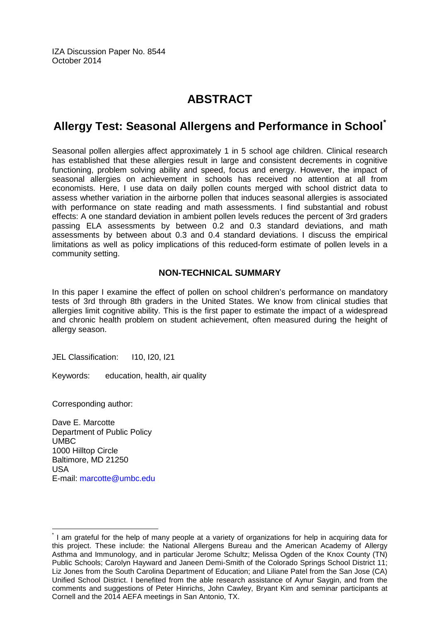IZA Discussion Paper No. 8544 October 2014

# **ABSTRACT**

# **Allergy Test: Seasonal Allergens and Performance in School[\\*](#page-1-0)**

Seasonal pollen allergies affect approximately 1 in 5 school age children. Clinical research has established that these allergies result in large and consistent decrements in cognitive functioning, problem solving ability and speed, focus and energy. However, the impact of seasonal allergies on achievement in schools has received no attention at all from economists. Here, I use data on daily pollen counts merged with school district data to assess whether variation in the airborne pollen that induces seasonal allergies is associated with performance on state reading and math assessments. I find substantial and robust effects: A one standard deviation in ambient pollen levels reduces the percent of 3rd graders passing ELA assessments by between 0.2 and 0.3 standard deviations, and math assessments by between about 0.3 and 0.4 standard deviations. I discuss the empirical limitations as well as policy implications of this reduced-form estimate of pollen levels in a community setting.

### **NON-TECHNICAL SUMMARY**

In this paper I examine the effect of pollen on school children's performance on mandatory tests of 3rd through 8th graders in the United States. We know from clinical studies that allergies limit cognitive ability. This is the first paper to estimate the impact of a widespread and chronic health problem on student achievement, often measured during the height of allergy season.

JEL Classification: I10, I20, I21

Keywords: education, health, air quality

Corresponding author:

Dave E. Marcotte Department of Public Policy UMBC 1000 Hilltop Circle Baltimore, MD 21250 USA E-mail: [marcotte@umbc.edu](mailto:marcotte@umbc.edu)

I am grateful for the help of many people at a variety of organizations for help in acquiring data for this project. These include: the National Allergens Bureau and the American Academy of Allergy Asthma and Immunology, and in particular Jerome Schultz; Melissa Ogden of the Knox County (TN) Public Schools; Carolyn Hayward and Janeen Demi-Smith of the Colorado Springs School District 11; Liz Jones from the South Carolina Department of Education; and Liliane Patel from the San Jose (CA) Unified School District. I benefited from the able research assistance of Aynur Saygin, and from the comments and suggestions of Peter Hinrichs, John Cawley, Bryant Kim and seminar participants at Cornell and the 2014 AEFA meetings in San Antonio, TX.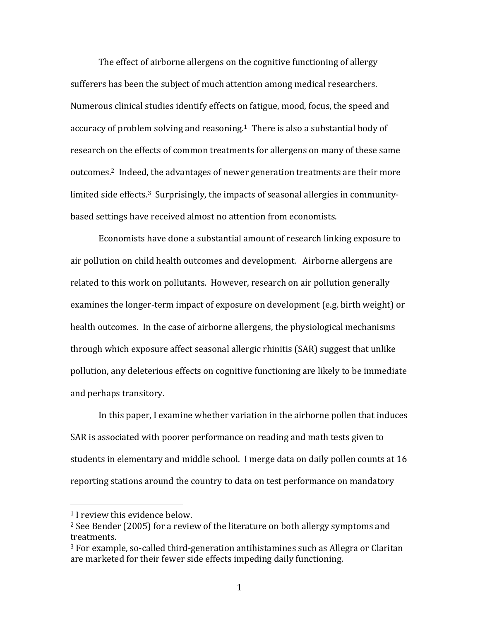The effect of airborne allergens on the cognitive functioning of allergy sufferers has been the subject of much attention among medical researchers. Numerous clinical studies identify effects on fatigue, mood, focus, the speed and accuracy of problem solving and reasoning.<sup>1</sup> There is also a substantial body of research on the effects of common treatments for allergens on many of these same outcomes.<sup>2</sup> Indeed, the advantages of newer generation treatments are their more limited side effects.<sup>3</sup> Surprisingly, the impacts of seasonal allergies in communitybased settings have received almost no attention from economists.

Economists have done a substantial amount of research linking exposure to air pollution on child health outcomes and development. Airborne allergens are related to this work on pollutants. However, research on air pollution generally examines the longer-term impact of exposure on development (e.g. birth weight) or health outcomes. In the case of airborne allergens, the physiological mechanisms through which exposure affect seasonal allergic rhinitis (SAR) suggest that unlike pollution, any deleterious effects on cognitive functioning are likely to be immediate and perhaps transitory.

In this paper, I examine whether variation in the airborne pollen that induces SAR is associated with poorer performance on reading and math tests given to students in elementary and middle school. I merge data on daily pollen counts at  $16$ reporting stations around the country to data on test performance on mandatory

  $1$  I review this evidence below.

 $2$  See Bender (2005) for a review of the literature on both allergy symptoms and treatments.

 $3$  For example, so-called third-generation antihistamines such as Allegra or Claritan are marketed for their fewer side effects impeding daily functioning.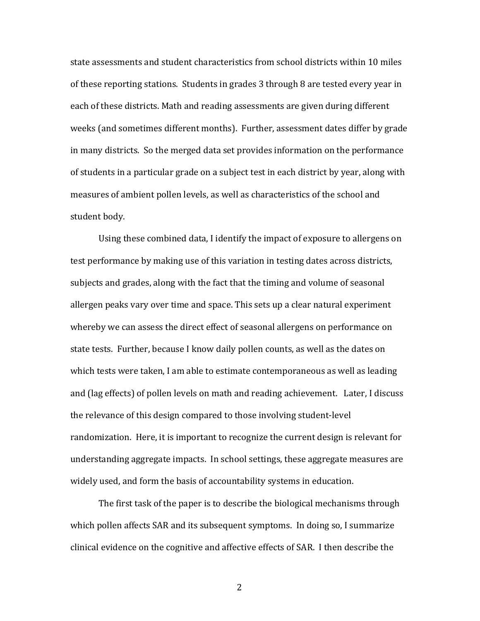state assessments and student characteristics from school districts within 10 miles of these reporting stations. Students in grades 3 through 8 are tested every year in each of these districts. Math and reading assessments are given during different weeks (and sometimes different months). Further, assessment dates differ by grade in many districts. So the merged data set provides information on the performance of students in a particular grade on a subject test in each district by year, along with measures of ambient pollen levels, as well as characteristics of the school and student body.

Using these combined data, I identify the impact of exposure to allergens on test performance by making use of this variation in testing dates across districts, subjects and grades, along with the fact that the timing and volume of seasonal allergen peaks vary over time and space. This sets up a clear natural experiment whereby we can assess the direct effect of seasonal allergens on performance on state tests. Further, because I know daily pollen counts, as well as the dates on which tests were taken, I am able to estimate contemporaneous as well as leading and (lag effects) of pollen levels on math and reading achievement. Later, I discuss the relevance of this design compared to those involving student-level randomization. Here, it is important to recognize the current design is relevant for understanding aggregate impacts. In school settings, these aggregate measures are widely used, and form the basis of accountability systems in education.

The first task of the paper is to describe the biological mechanisms through which pollen affects SAR and its subsequent symptoms. In doing so, I summarize clinical evidence on the cognitive and affective effects of SAR. I then describe the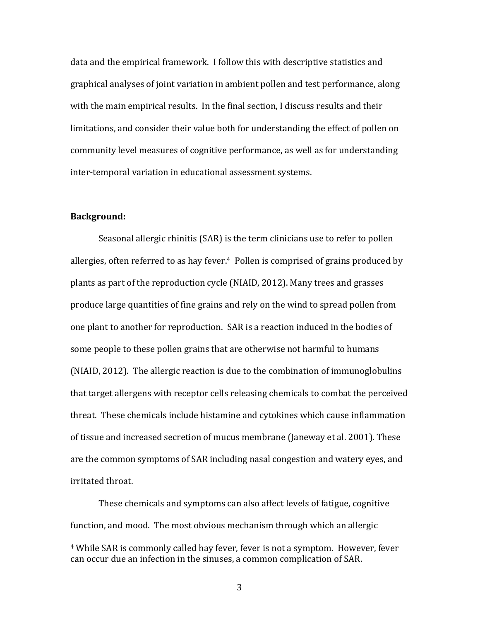data and the empirical framework. I follow this with descriptive statistics and graphical analyses of joint variation in ambient pollen and test performance, along with the main empirical results. In the final section, I discuss results and their limitations, and consider their value both for understanding the effect of pollen on community level measures of cognitive performance, as well as for understanding inter-temporal variation in educational assessment systems.

### **Background:**

 

Seasonal allergic rhinitis (SAR) is the term clinicians use to refer to pollen allergies, often referred to as hay fever.<sup>4</sup> Pollen is comprised of grains produced by plants as part of the reproduction cycle (NIAID, 2012). Many trees and grasses produce large quantities of fine grains and rely on the wind to spread pollen from one plant to another for reproduction. SAR is a reaction induced in the bodies of some people to these pollen grains that are otherwise not harmful to humans (NIAID, 2012). The allergic reaction is due to the combination of immunoglobulins that target allergens with receptor cells releasing chemicals to combat the perceived threat. These chemicals include histamine and cytokines which cause inflammation of tissue and increased secretion of mucus membrane (Janeway et al. 2001). These are the common symptoms of SAR including nasal congestion and watery eyes, and irritated throat.

These chemicals and symptoms can also affect levels of fatigue, cognitive function, and mood. The most obvious mechanism through which an allergic

<sup>&</sup>lt;sup>4</sup> While SAR is commonly called hay fever, fever is not a symptom. However, fever can occur due an infection in the sinuses, a common complication of SAR.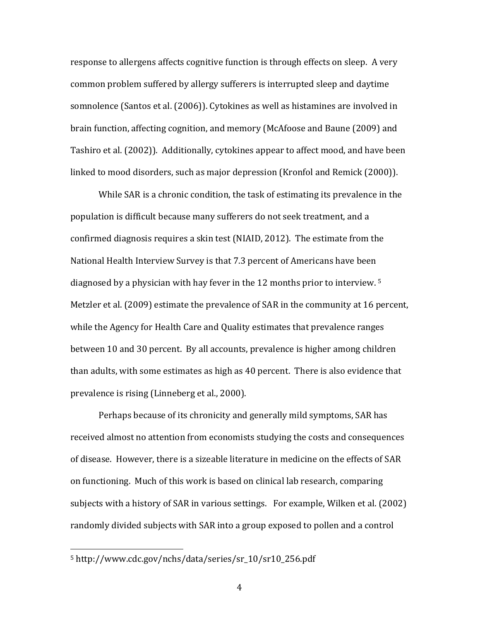response to allergens affects cognitive function is through effects on sleep. A very common problem suffered by allergy sufferers is interrupted sleep and daytime somnolence (Santos et al. (2006)). Cytokines as well as histamines are involved in brain function, affecting cognition, and memory (McAfoose and Baune (2009) and Tashiro et al. (2002)). Additionally, cytokines appear to affect mood, and have been linked to mood disorders, such as major depression (Kronfol and Remick (2000)).

While SAR is a chronic condition, the task of estimating its prevalence in the population is difficult because many sufferers do not seek treatment, and a confirmed diagnosis requires a skin test (NIAID, 2012). The estimate from the National Health Interview Survey is that 7.3 percent of Americans have been diagnosed by a physician with hay fever in the 12 months prior to interview. <sup>5</sup> Metzler et al. (2009) estimate the prevalence of SAR in the community at 16 percent, while the Agency for Health Care and Quality estimates that prevalence ranges between 10 and 30 percent. By all accounts, prevalence is higher among children than adults, with some estimates as high as 40 percent. There is also evidence that prevalence is rising (Linneberg et al., 2000).

Perhaps because of its chronicity and generally mild symptoms, SAR has received almost no attention from economists studying the costs and consequences of disease. However, there is a sizeable literature in medicine on the effects of SAR on functioning. Much of this work is based on clinical lab research, comparing subjects with a history of SAR in various settings. For example, Wilken et al. (2002) randomly divided subjects with SAR into a group exposed to pollen and a control

<sup>5</sup> http://www.cdc.gov/nchs/data/series/sr\_10/sr10\_256.pdf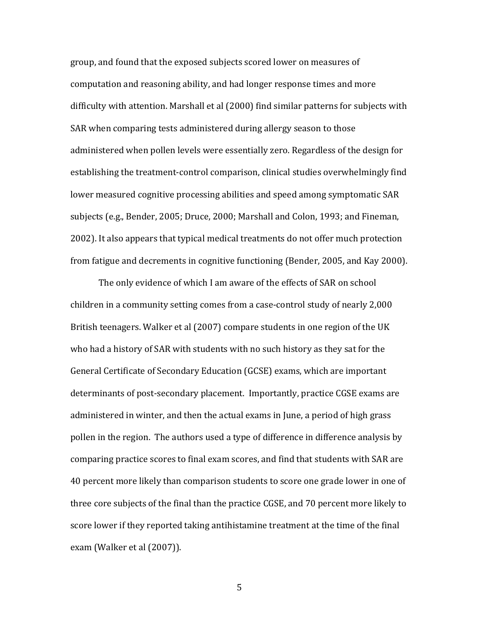group, and found that the exposed subjects scored lower on measures of computation and reasoning ability, and had longer response times and more difficulty with attention. Marshall et al (2000) find similar patterns for subjects with SAR when comparing tests administered during allergy season to those administered when pollen levels were essentially zero. Regardless of the design for establishing the treatment-control comparison, clinical studies overwhelmingly find lower measured cognitive processing abilities and speed among symptomatic SAR subjects (e.g., Bender, 2005; Druce, 2000; Marshall and Colon, 1993; and Fineman, 2002). It also appears that typical medical treatments do not offer much protection from fatigue and decrements in cognitive functioning (Bender, 2005, and Kay 2000).

The only evidence of which I am aware of the effects of SAR on school children in a community setting comes from a case-control study of nearly 2,000 British teenagers. Walker et al (2007) compare students in one region of the UK who had a history of SAR with students with no such history as they sat for the General Certificate of Secondary Education (GCSE) exams, which are important determinants of post-secondary placement. Importantly, practice CGSE exams are administered in winter, and then the actual exams in June, a period of high grass pollen in the region. The authors used a type of difference in difference analysis by comparing practice scores to final exam scores, and find that students with SAR are 40 percent more likely than comparison students to score one grade lower in one of three core subjects of the final than the practice CGSE, and 70 percent more likely to score lower if they reported taking antihistamine treatment at the time of the final exam (Walker et al (2007)).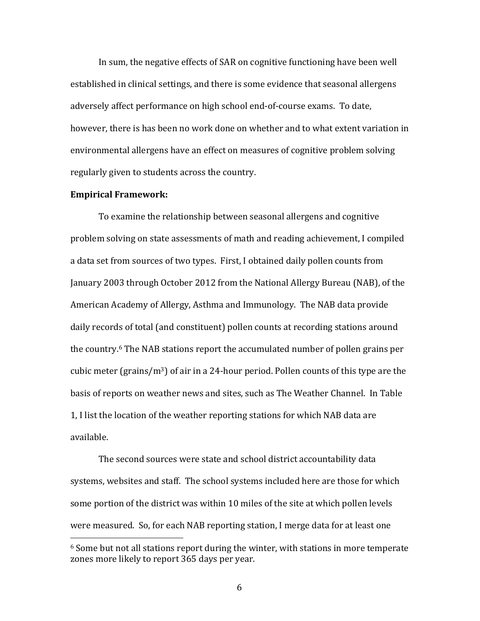In sum, the negative effects of SAR on cognitive functioning have been well established in clinical settings, and there is some evidence that seasonal allergens adversely affect performance on high school end-of-course exams. To date, however, there is has been no work done on whether and to what extent variation in environmental allergens have an effect on measures of cognitive problem solving regularly given to students across the country.

#### **Empirical Framework:**

 

To examine the relationship between seasonal allergens and cognitive problem solving on state assessments of math and reading achievement, I compiled a data set from sources of two types. First, I obtained daily pollen counts from January 2003 through October 2012 from the National Allergy Bureau (NAB), of the American Academy of Allergy, Asthma and Immunology. The NAB data provide daily records of total (and constituent) pollen counts at recording stations around the country.<sup>6</sup> The NAB stations report the accumulated number of pollen grains per cubic meter  $\frac{\gamma_3}{n^3}$  of air in a 24-hour period. Pollen counts of this type are the basis of reports on weather news and sites, such as The Weather Channel. In Table 1, I list the location of the weather reporting stations for which NAB data are available.

The second sources were state and school district accountability data systems, websites and staff. The school systems included here are those for which some portion of the district was within 10 miles of the site at which pollen levels were measured. So, for each NAB reporting station, I merge data for at least one

 $6$  Some but not all stations report during the winter, with stations in more temperate zones more likely to report 365 days per year.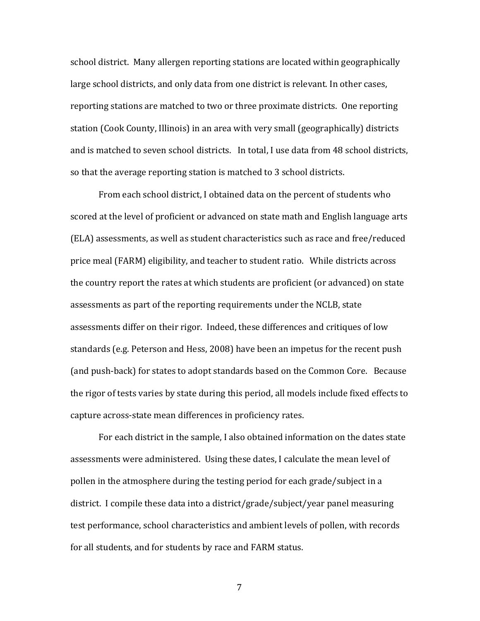school district. Many allergen reporting stations are located within geographically large school districts, and only data from one district is relevant. In other cases, reporting stations are matched to two or three proximate districts. One reporting station (Cook County, Illinois) in an area with very small (geographically) districts and is matched to seven school districts. In total, I use data from 48 school districts, so that the average reporting station is matched to 3 school districts.

From each school district, I obtained data on the percent of students who scored at the level of proficient or advanced on state math and English language arts (ELA) assessments, as well as student characteristics such as race and free/reduced price meal (FARM) eligibility, and teacher to student ratio. While districts across the country report the rates at which students are proficient (or advanced) on state assessments as part of the reporting requirements under the NCLB, state assessments differ on their rigor. Indeed, these differences and critiques of low standards (e.g. Peterson and Hess, 2008) have been an impetus for the recent push (and push-back) for states to adopt standards based on the Common Core. Because the rigor of tests varies by state during this period, all models include fixed effects to capture across-state mean differences in proficiency rates.

For each district in the sample, I also obtained information on the dates state assessments were administered. Using these dates, I calculate the mean level of pollen in the atmosphere during the testing period for each grade/subject in a district. I compile these data into a district/grade/subject/year panel measuring test performance, school characteristics and ambient levels of pollen, with records for all students, and for students by race and FARM status.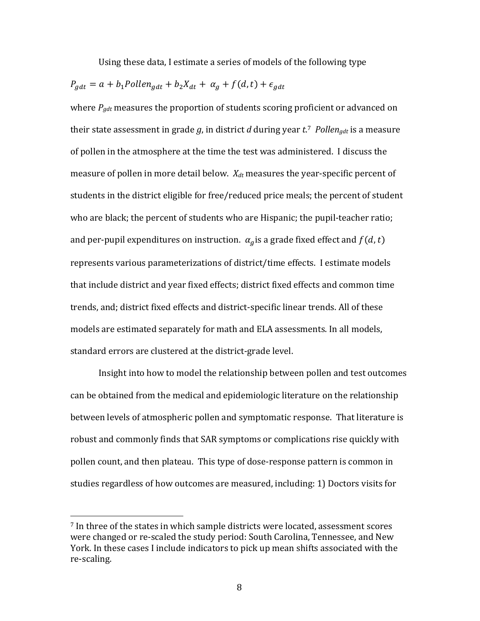Using these data, I estimate a series of models of the following type

$$
P_{gdt} = a + b_1 \text{Pollen}_{gdt} + b_2 X_{dt} + \alpha_g + f(d, t) + \epsilon_{gdt}
$$

where  $P_{gdt}$  measures the proportion of students scoring proficient or advanced on their state assessment in grade  $g$ , in district  $d$  during year  $t$ .<sup>7</sup> Pollen<sub>gdt</sub> is a measure of pollen in the atmosphere at the time the test was administered. I discuss the measure of pollen in more detail below.  $X_{dt}$  measures the year-specific percent of students in the district eligible for free/reduced price meals; the percent of student who are black; the percent of students who are Hispanic; the pupil-teacher ratio; and per-pupil expenditures on instruction.  $\alpha_q$  is a grade fixed effect and  $f(d, t)$ represents various parameterizations of district/time effects. I estimate models that include district and year fixed effects; district fixed effects and common time trends, and; district fixed effects and district-specific linear trends. All of these models are estimated separately for math and ELA assessments. In all models, standard errors are clustered at the district-grade level.

Insight into how to model the relationship between pollen and test outcomes can be obtained from the medical and epidemiologic literature on the relationship between levels of atmospheric pollen and symptomatic response. That literature is robust and commonly finds that SAR symptoms or complications rise quickly with pollen count, and then plateau. This type of dose-response pattern is common in studies regardless of how outcomes are measured, including: 1) Doctors visits for

 $7$  In three of the states in which sample districts were located, assessment scores were changed or re-scaled the study period: South Carolina, Tennessee, and New York. In these cases I include indicators to pick up mean shifts associated with the re-scaling.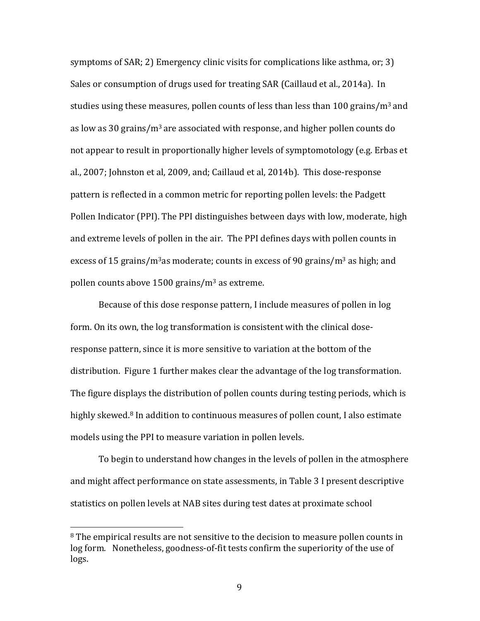symptoms of SAR; 2) Emergency clinic visits for complications like asthma, or; 3) Sales or consumption of drugs used for treating SAR (Caillaud et al., 2014a). In studies using these measures, pollen counts of less than less than 100 grains/m<sup>3</sup> and as low as 30 grains/ $m^3$  are associated with response, and higher pollen counts do not appear to result in proportionally higher levels of symptomotology (e.g. Erbas et al., 2007; Johnston et al, 2009, and; Caillaud et al, 2014b). This dose-response pattern is reflected in a common metric for reporting pollen levels: the Padgett Pollen Indicator (PPI). The PPI distinguishes between days with low, moderate, high and extreme levels of pollen in the air. The PPI defines days with pollen counts in excess of 15 grains/m<sup>3</sup>as moderate; counts in excess of 90 grains/m<sup>3</sup> as high; and pollen counts above  $1500$  grains/m<sup>3</sup> as extreme.

Because of this dose response pattern, I include measures of pollen in log form. On its own, the log transformation is consistent with the clinical doseresponse pattern, since it is more sensitive to variation at the bottom of the distribution. Figure 1 further makes clear the advantage of the log transformation. The figure displays the distribution of pollen counts during testing periods, which is highly skewed.<sup>8</sup> In addition to continuous measures of pollen count, I also estimate models using the PPI to measure variation in pollen levels.

To begin to understand how changes in the levels of pollen in the atmosphere and might affect performance on state assessments, in Table 3 I present descriptive statistics on pollen levels at NAB sites during test dates at proximate school

<sup>&</sup>lt;sup>8</sup> The empirical results are not sensitive to the decision to measure pollen counts in log form. Nonetheless, goodness-of-fit tests confirm the superiority of the use of logs.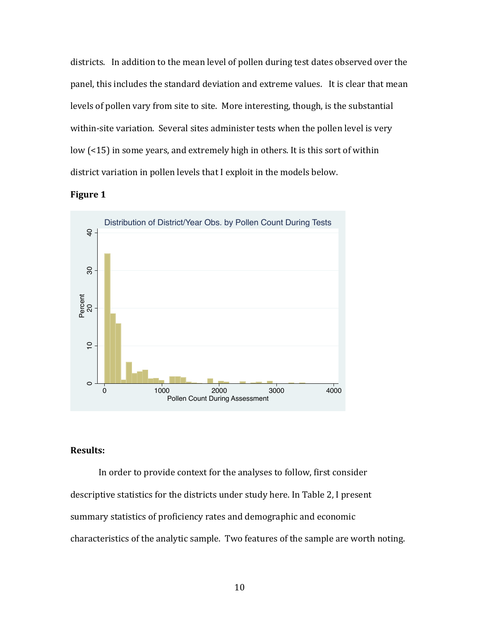districts. In addition to the mean level of pollen during test dates observed over the panel, this includes the standard deviation and extreme values. It is clear that mean levels of pollen vary from site to site. More interesting, though, is the substantial within-site variation. Several sites administer tests when the pollen level is very low  $\left($  <15) in some years, and extremely high in others. It is this sort of within district variation in pollen levels that I exploit in the models below.





### **Results:**

In order to provide context for the analyses to follow, first consider descriptive statistics for the districts under study here. In Table 2, I present summary statistics of proficiency rates and demographic and economic characteristics of the analytic sample. Two features of the sample are worth noting.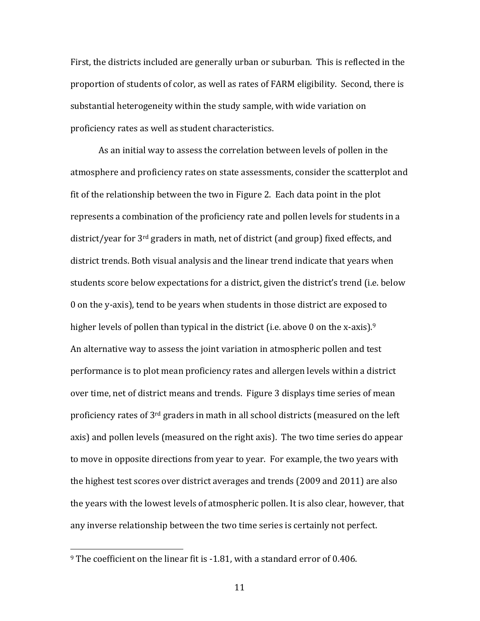First, the districts included are generally urban or suburban. This is reflected in the proportion of students of color, as well as rates of FARM eligibility. Second, there is substantial heterogeneity within the study sample, with wide variation on proficiency rates as well as student characteristics.

As an initial way to assess the correlation between levels of pollen in the atmosphere and proficiency rates on state assessments, consider the scatterplot and fit of the relationship between the two in Figure 2. Each data point in the plot represents a combination of the proficiency rate and pollen levels for students in a district/year for  $3<sup>rd</sup>$  graders in math, net of district (and group) fixed effects, and district trends. Both visual analysis and the linear trend indicate that years when students score below expectations for a district, given the district's trend (i.e. below 0 on the y-axis), tend to be years when students in those district are exposed to higher levels of pollen than typical in the district (i.e. above 0 on the x-axis).<sup>9</sup> An alternative way to assess the joint variation in atmospheric pollen and test performance is to plot mean proficiency rates and allergen levels within a district over time, net of district means and trends. Figure 3 displays time series of mean proficiency rates of  $3<sup>rd</sup>$  graders in math in all school districts (measured on the left axis) and pollen levels (measured on the right axis). The two time series do appear to move in opposite directions from year to year. For example, the two years with the highest test scores over district averages and trends (2009 and 2011) are also the years with the lowest levels of atmospheric pollen. It is also clear, however, that any inverse relationship between the two time series is certainly not perfect.

 $9$  The coefficient on the linear fit is -1.81, with a standard error of 0.406.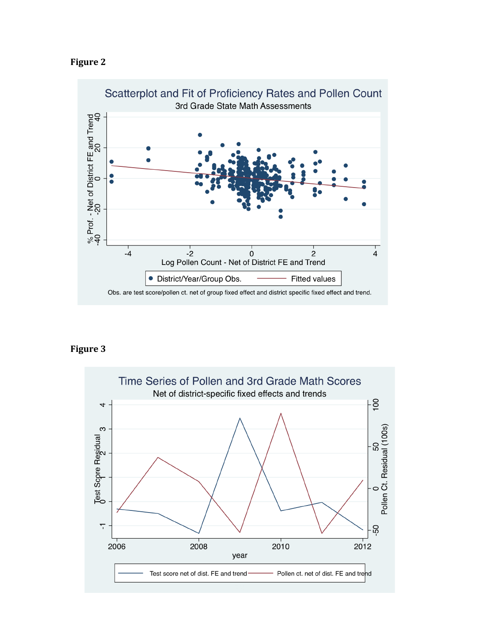



## **Figure 3**

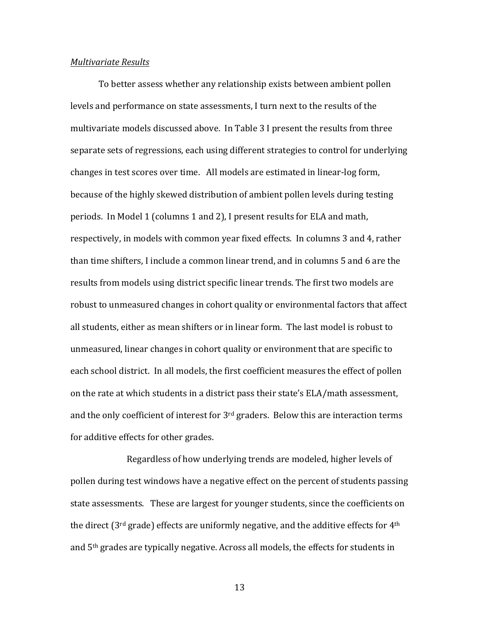#### *Multivariate Results*

To better assess whether any relationship exists between ambient pollen levels and performance on state assessments, I turn next to the results of the multivariate models discussed above. In Table 3 I present the results from three separate sets of regressions, each using different strategies to control for underlying changes in test scores over time. All models are estimated in linear-log form, because of the highly skewed distribution of ambient pollen levels during testing periods. In Model 1 (columns 1 and 2), I present results for ELA and math, respectively, in models with common year fixed effects. In columns 3 and 4, rather than time shifters, I include a common linear trend, and in columns 5 and 6 are the results from models using district specific linear trends. The first two models are robust to unmeasured changes in cohort quality or environmental factors that affect all students, either as mean shifters or in linear form. The last model is robust to unmeasured, linear changes in cohort quality or environment that are specific to each school district. In all models, the first coefficient measures the effect of pollen on the rate at which students in a district pass their state's ELA/math assessment, and the only coefficient of interest for  $3<sup>rd</sup>$  graders. Below this are interaction terms for additive effects for other grades.

Regardless of how underlying trends are modeled, higher levels of pollen during test windows have a negative effect on the percent of students passing state assessments. These are largest for younger students, since the coefficients on the direct ( $3<sup>rd</sup>$  grade) effects are uniformly negative, and the additive effects for  $4<sup>th</sup>$ and  $5<sup>th</sup>$  grades are typically negative. Across all models, the effects for students in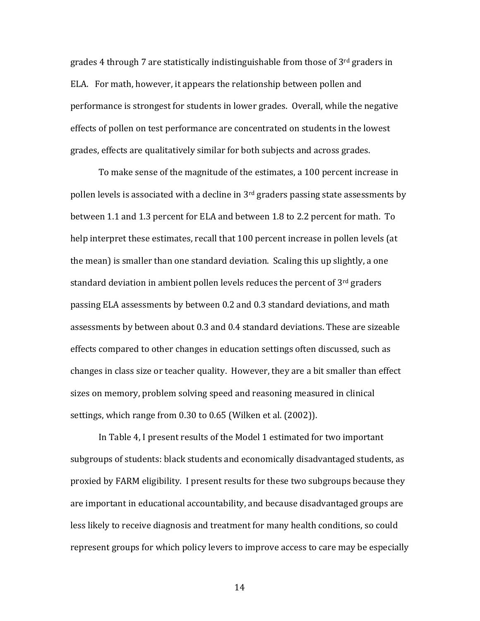grades 4 through 7 are statistically indistinguishable from those of  $3<sup>rd</sup>$  graders in ELA. For math, however, it appears the relationship between pollen and performance is strongest for students in lower grades. Overall, while the negative effects of pollen on test performance are concentrated on students in the lowest grades, effects are qualitatively similar for both subjects and across grades.

To make sense of the magnitude of the estimates, a 100 percent increase in pollen levels is associated with a decline in  $3<sup>rd</sup>$  graders passing state assessments by between 1.1 and 1.3 percent for ELA and between 1.8 to 2.2 percent for math. To help interpret these estimates, recall that 100 percent increase in pollen levels (at the mean) is smaller than one standard deviation. Scaling this up slightly, a one standard deviation in ambient pollen levels reduces the percent of  $3<sup>rd</sup>$  graders passing ELA assessments by between 0.2 and 0.3 standard deviations, and math assessments by between about 0.3 and 0.4 standard deviations. These are sizeable effects compared to other changes in education settings often discussed, such as changes in class size or teacher quality. However, they are a bit smaller than effect sizes on memory, problem solving speed and reasoning measured in clinical settings, which range from 0.30 to 0.65 (Wilken et al. (2002)).

In Table 4, I present results of the Model 1 estimated for two important subgroups of students: black students and economically disadvantaged students, as proxied by FARM eligibility. I present results for these two subgroups because they are important in educational accountability, and because disadvantaged groups are less likely to receive diagnosis and treatment for many health conditions, so could represent groups for which policy levers to improve access to care may be especially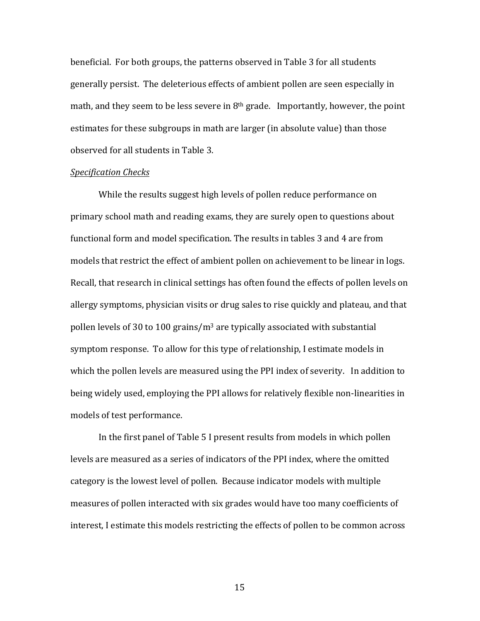beneficial. For both groups, the patterns observed in Table 3 for all students generally persist. The deleterious effects of ambient pollen are seen especially in math, and they seem to be less severe in  $8<sup>th</sup>$  grade. Importantly, however, the point estimates for these subgroups in math are larger (in absolute value) than those observed for all students in Table 3.

#### *Specification Checks*

While the results suggest high levels of pollen reduce performance on primary school math and reading exams, they are surely open to questions about functional form and model specification. The results in tables 3 and 4 are from models that restrict the effect of ambient pollen on achievement to be linear in logs. Recall, that research in clinical settings has often found the effects of pollen levels on allergy symptoms, physician visits or drug sales to rise quickly and plateau, and that pollen levels of 30 to 100 grains/ $m<sup>3</sup>$  are typically associated with substantial symptom response. To allow for this type of relationship, I estimate models in which the pollen levels are measured using the PPI index of severity. In addition to being widely used, employing the PPI allows for relatively flexible non-linearities in models of test performance.

In the first panel of Table 5 I present results from models in which pollen levels are measured as a series of indicators of the PPI index, where the omitted category is the lowest level of pollen. Because indicator models with multiple measures of pollen interacted with six grades would have too many coefficients of interest, I estimate this models restricting the effects of pollen to be common across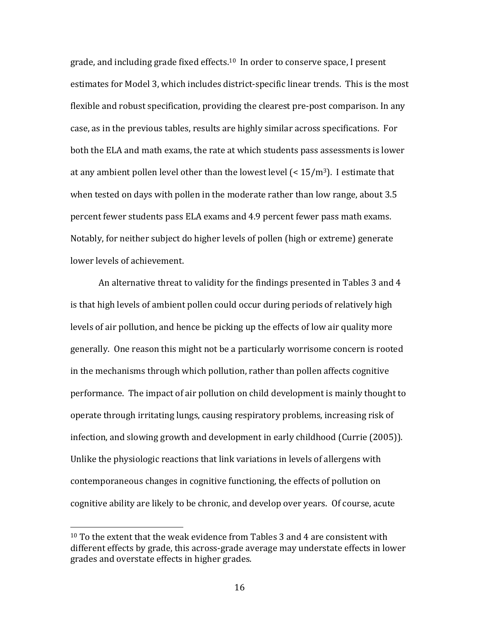grade, and including grade fixed effects.<sup>10</sup> In order to conserve space, I present estimates for Model 3, which includes district-specific linear trends. This is the most flexible and robust specification, providing the clearest pre-post comparison. In any case, as in the previous tables, results are highly similar across specifications. For both the ELA and math exams, the rate at which students pass assessments is lower at any ambient pollen level other than the lowest level  $\leq 15/m^3$ ). I estimate that when tested on days with pollen in the moderate rather than low range, about  $3.5$ percent fewer students pass ELA exams and 4.9 percent fewer pass math exams. Notably, for neither subject do higher levels of pollen (high or extreme) generate lower levels of achievement.

An alternative threat to validity for the findings presented in Tables 3 and 4 is that high levels of ambient pollen could occur during periods of relatively high levels of air pollution, and hence be picking up the effects of low air quality more generally. One reason this might not be a particularly worrisome concern is rooted in the mechanisms through which pollution, rather than pollen affects cognitive performance. The impact of air pollution on child development is mainly thought to operate through irritating lungs, causing respiratory problems, increasing risk of infection, and slowing growth and development in early childhood (Currie (2005)). Unlike the physiologic reactions that link variations in levels of allergens with contemporaneous changes in cognitive functioning, the effects of pollution on cognitive ability are likely to be chronic, and develop over years. Of course, acute

 $10$  To the extent that the weak evidence from Tables 3 and 4 are consistent with different effects by grade, this across-grade average may understate effects in lower grades and overstate effects in higher grades.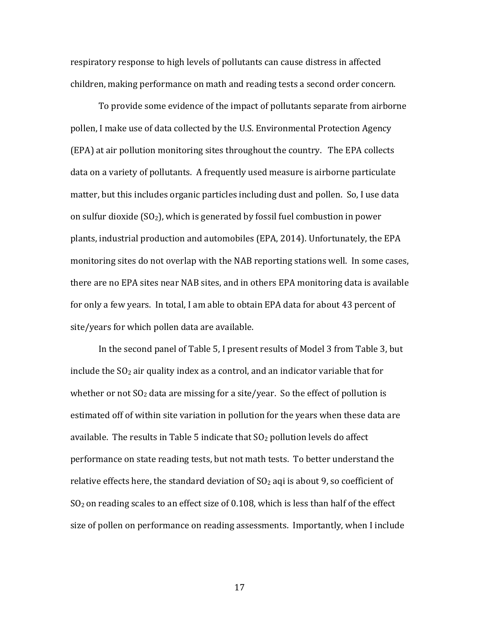respiratory response to high levels of pollutants can cause distress in affected children, making performance on math and reading tests a second order concern.

To provide some evidence of the impact of pollutants separate from airborne pollen, I make use of data collected by the U.S. Environmental Protection Agency (EPA) at air pollution monitoring sites throughout the country. The EPA collects data on a variety of pollutants. A frequently used measure is airborne particulate matter, but this includes organic particles including dust and pollen. So, I use data on sulfur dioxide  $(SO<sub>2</sub>)$ , which is generated by fossil fuel combustion in power plants, industrial production and automobiles (EPA, 2014). Unfortunately, the EPA monitoring sites do not overlap with the NAB reporting stations well. In some cases, there are no EPA sites near NAB sites, and in others EPA monitoring data is available for only a few years. In total, I am able to obtain EPA data for about 43 percent of site/years for which pollen data are available.

In the second panel of Table 5, I present results of Model 3 from Table 3, but include the  $SO<sub>2</sub>$  air quality index as a control, and an indicator variable that for whether or not  $SO<sub>2</sub>$  data are missing for a site/year. So the effect of pollution is estimated off of within site variation in pollution for the years when these data are available. The results in Table 5 indicate that  $SO<sub>2</sub>$  pollution levels do affect performance on state reading tests, but not math tests. To better understand the relative effects here, the standard deviation of  $SO<sub>2</sub>$  aqi is about 9, so coefficient of  $SO<sub>2</sub>$  on reading scales to an effect size of 0.108, which is less than half of the effect size of pollen on performance on reading assessments. Importantly, when I include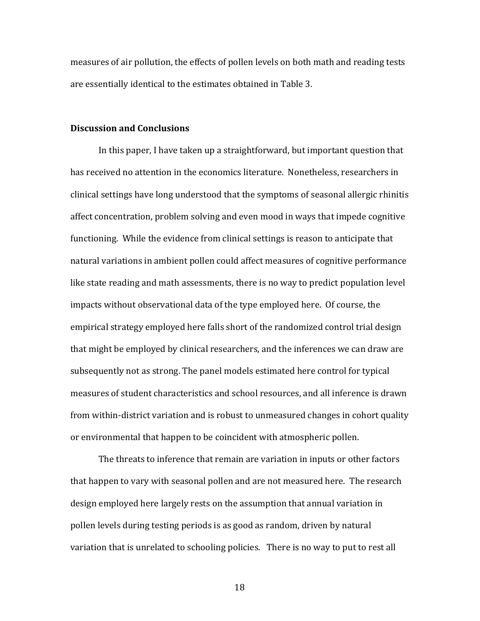measures of air pollution, the effects of pollen levels on both math and reading tests are essentially identical to the estimates obtained in Table 3.

#### **Discussion and Conclusions**

In this paper, I have taken up a straightforward, but important question that has received no attention in the economics literature. Nonetheless, researchers in clinical settings have long understood that the symptoms of seasonal allergic rhinitis affect concentration, problem solving and even mood in ways that impede cognitive functioning. While the evidence from clinical settings is reason to anticipate that natural variations in ambient pollen could affect measures of cognitive performance like state reading and math assessments, there is no way to predict population level impacts without observational data of the type employed here. Of course, the empirical strategy employed here falls short of the randomized control trial design that might be employed by clinical researchers, and the inferences we can draw are subsequently not as strong. The panel models estimated here control for typical measures of student characteristics and school resources, and all inference is drawn from within-district variation and is robust to unmeasured changes in cohort quality or environmental that happen to be coincident with atmospheric pollen.

The threats to inference that remain are variation in inputs or other factors that happen to vary with seasonal pollen and are not measured here. The research design employed here largely rests on the assumption that annual variation in pollen levels during testing periods is as good as random, driven by natural variation that is unrelated to schooling policies. There is no way to put to rest all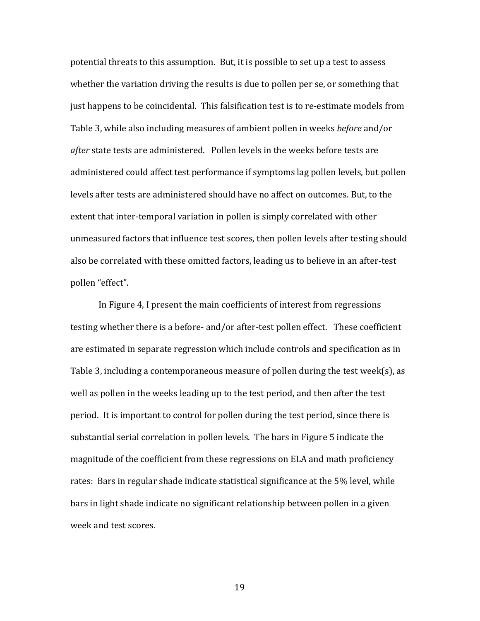potential threats to this assumption. But, it is possible to set up a test to assess whether the variation driving the results is due to pollen per se, or something that just happens to be coincidental. This falsification test is to re-estimate models from Table 3, while also including measures of ambient pollen in weeks *before* and/or *after* state tests are administered. Pollen levels in the weeks before tests are administered could affect test performance if symptoms lag pollen levels, but pollen levels after tests are administered should have no affect on outcomes. But, to the extent that inter-temporal variation in pollen is simply correlated with other unmeasured factors that influence test scores, then pollen levels after testing should also be correlated with these omitted factors, leading us to believe in an after-test pollen "effect".

In Figure 4, I present the main coefficients of interest from regressions testing whether there is a before- and/or after-test pollen effect. These coefficient are estimated in separate regression which include controls and specification as in Table 3, including a contemporaneous measure of pollen during the test week(s), as well as pollen in the weeks leading up to the test period, and then after the test period. It is important to control for pollen during the test period, since there is substantial serial correlation in pollen levels. The bars in Figure 5 indicate the magnitude of the coefficient from these regressions on ELA and math proficiency rates: Bars in regular shade indicate statistical significance at the 5% level, while bars in light shade indicate no significant relationship between pollen in a given week and test scores.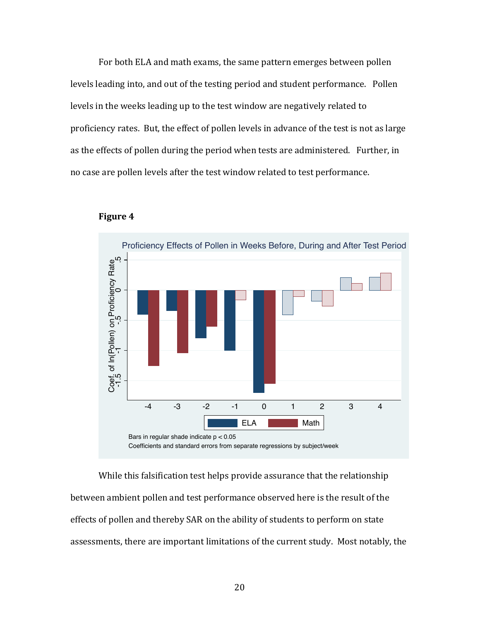For both ELA and math exams, the same pattern emerges between pollen levels leading into, and out of the testing period and student performance. Pollen levels in the weeks leading up to the test window are negatively related to proficiency rates. But, the effect of pollen levels in advance of the test is not as large as the effects of pollen during the period when tests are administered. Further, in no case are pollen levels after the test window related to test performance.





While this falsification test helps provide assurance that the relationship between ambient pollen and test performance observed here is the result of the effects of pollen and thereby SAR on the ability of students to perform on state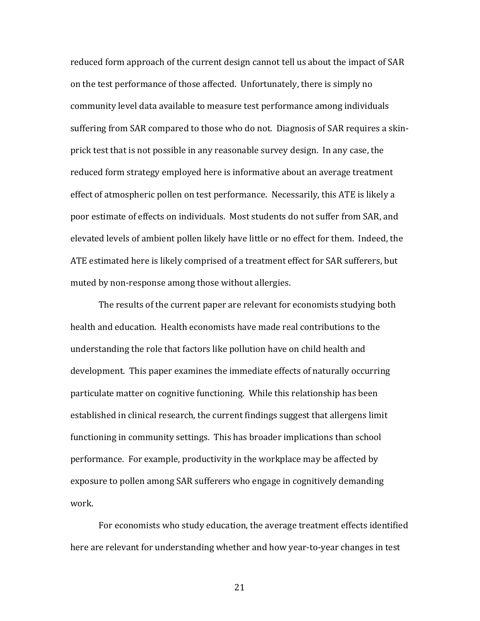reduced form approach of the current design cannot tell us about the impact of SAR on the test performance of those affected. Unfortunately, there is simply no community level data available to measure test performance among individuals suffering from SAR compared to those who do not. Diagnosis of SAR requires a skinprick test that is not possible in any reasonable survey design. In any case, the reduced form strategy employed here is informative about an average treatment effect of atmospheric pollen on test performance. Necessarily, this ATE is likely a poor estimate of effects on individuals. Most students do not suffer from SAR, and elevated levels of ambient pollen likely have little or no effect for them. Indeed, the ATE estimated here is likely comprised of a treatment effect for SAR sufferers, but muted by non-response among those without allergies.

The results of the current paper are relevant for economists studying both health and education. Health economists have made real contributions to the understanding the role that factors like pollution have on child health and development. This paper examines the immediate effects of naturally occurring particulate matter on cognitive functioning. While this relationship has been established in clinical research, the current findings suggest that allergens limit functioning in community settings. This has broader implications than school performance. For example, productivity in the workplace may be affected by exposure to pollen among SAR sufferers who engage in cognitively demanding work.

For economists who study education, the average treatment effects identified here are relevant for understanding whether and how year-to-year changes in test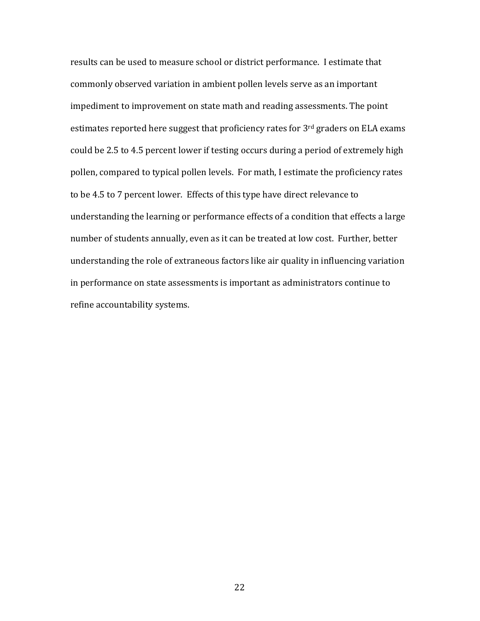results can be used to measure school or district performance. I estimate that commonly observed variation in ambient pollen levels serve as an important impediment to improvement on state math and reading assessments. The point estimates reported here suggest that proficiency rates for  $3<sup>rd</sup>$  graders on ELA exams could be 2.5 to 4.5 percent lower if testing occurs during a period of extremely high pollen, compared to typical pollen levels. For math, I estimate the proficiency rates to be 4.5 to 7 percent lower. Effects of this type have direct relevance to understanding the learning or performance effects of a condition that effects a large number of students annually, even as it can be treated at low cost. Further, better understanding the role of extraneous factors like air quality in influencing variation in performance on state assessments is important as administrators continue to refine accountability systems.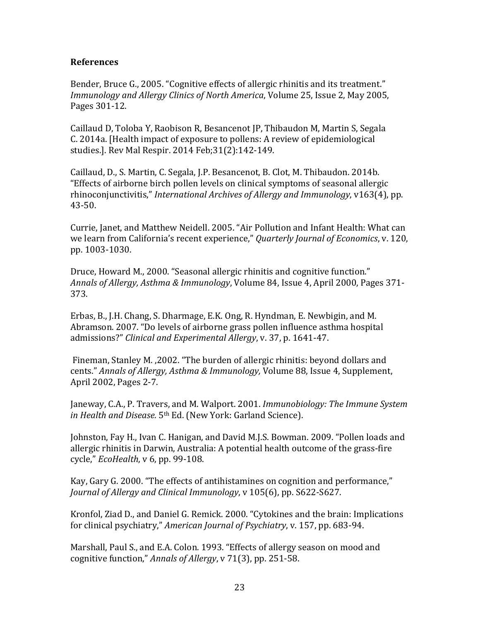### **References**

Bender, Bruce G., 2005. "Cognitive effects of allergic rhinitis and its treatment." *Immunology and Allergy Clinics of North America*, Volume 25, Issue 2, May 2005, Pages 301-12.

Caillaud D, Toloba Y, Raobison R, Besancenot JP, Thibaudon M, Martin S, Segala C. 2014a. [Health impact of exposure to pollens: A review of epidemiological studies.]. Rev Mal Respir. 2014 Feb;31(2):142-149.

Caillaud, D., S. Martin, C. Segala, J.P. Besancenot, B. Clot, M. Thibaudon. 2014b. "Effects of airborne birch pollen levels on clinical symptoms of seasonal allergic rhinoconjunctivitis," *International Archives of Allergy and Immunology*, v163(4), pp. 43-50.

Currie, Janet, and Matthew Neidell. 2005. "Air Pollution and Infant Health: What can we learn from California's recent experience," *Quarterly Journal of Economics*, v. 120, pp. 1003-1030.

Druce, Howard M., 2000. "Seasonal allergic rhinitis and cognitive function." Annals of Allergy, Asthma & Immunology, Volume 84, Issue 4, April 2000, Pages 371-373.

Erbas, B., J.H. Chang, S. Dharmage, E.K. Ong, R. Hyndman, E. Newbigin, and M. Abramson. 2007. "Do levels of airborne grass pollen influence asthma hospital admissions?" *Clinical and Experimental Allergy*, v. 37, p. 1641-47.

Fineman, Stanley M., 2002. "The burden of allergic rhinitis: beyond dollars and cents." Annals of Allergy, Asthma & Immunology, Volume 88, Issue 4, Supplement, April 2002, Pages 2-7.

Janeway, C.A., P. Travers, and M. Walport. 2001. *Immunobiology: The Immune System in Health and Disease.* 5<sup>th</sup> Ed. (New York: Garland Science).

Johnston, Fay H., Ivan C. Hanigan, and David M.J.S. Bowman. 2009. "Pollen loads and allergic rhinitis in Darwin, Australia: A potential health outcome of the grass-fire cycle," *EcoHealth*, v 6, pp. 99-108.

Kay, Gary G. 2000. "The effects of antihistamines on cognition and performance," *Journal of Allergy and Clinical Immunology*, v 105(6), pp. S622-S627.

Kronfol, Ziad D., and Daniel G. Remick. 2000. "Cytokines and the brain: Implications for clinical psychiatry," American Journal of Psychiatry, v. 157, pp. 683-94.

Marshall, Paul S., and E.A. Colon. 1993. "Effects of allergy season on mood and cognitive function," Annals of Allergy, v 71(3), pp. 251-58.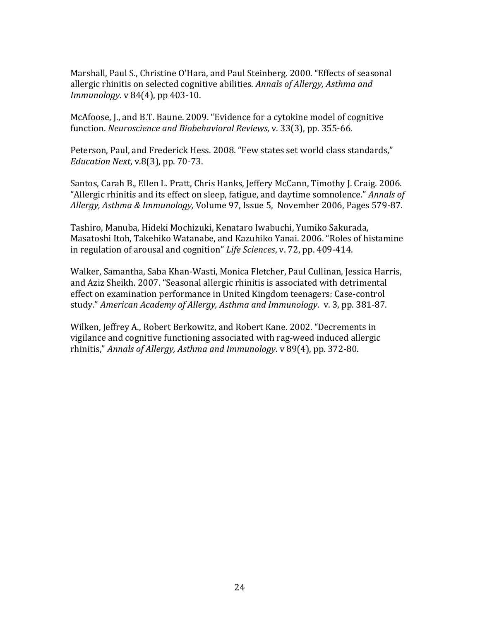Marshall, Paul S., Christine O'Hara, and Paul Steinberg. 2000. "Effects of seasonal allergic rhinitis on selected cognitive abilities. *Annals of Allergy, Asthma and Immunology.* v 84(4), pp 403-10.

McAfoose, J., and B.T. Baune. 2009. "Evidence for a cytokine model of cognitive function. *Neuroscience and Biobehavioral Reviews*, v. 33(3), pp. 355-66.

Peterson, Paul, and Frederick Hess. 2008. "Few states set world class standards," *Education Next, v.8(3), pp. 70-73.* 

Santos, Carah B., Ellen L. Pratt, Chris Hanks, Jeffery McCann, Timothy J. Craig. 2006. "Allergic rhinitis and its effect on sleep, fatigue, and daytime somnolence." *Annals of* Allergy, Asthma & Immunology, Volume 97, Issue 5, November 2006, Pages 579-87.

Tashiro, Manuba, Hideki Mochizuki, Kenataro Iwabuchi, Yumiko Sakurada, Masatoshi Itoh, Takehiko Watanabe, and Kazuhiko Yanai. 2006. "Roles of histamine in regulation of arousal and cognition" *Life Sciences*, v. 72, pp. 409-414.

Walker, Samantha, Saba Khan-Wasti, Monica Fletcher, Paul Cullinan, Jessica Harris, and Aziz Sheikh. 2007. "Seasonal allergic rhinitis is associated with detrimental effect on examination performance in United Kingdom teenagers: Case-control study." American Academy of Allergy, Asthma and Immunology. v. 3, pp. 381-87.

Wilken, Jeffrey A., Robert Berkowitz, and Robert Kane. 2002. "Decrements in vigilance and cognitive functioning associated with rag-weed induced allergic rhinitis," Annals of Allergy, Asthma and Immunology. v 89(4), pp. 372-80.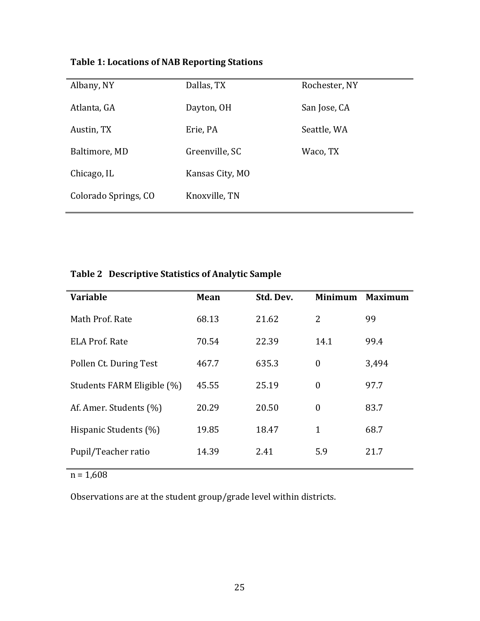| Albany, NY           | Dallas, TX      | Rochester, NY |
|----------------------|-----------------|---------------|
| Atlanta, GA          | Dayton, OH      | San Jose, CA  |
| Austin, TX           | Erie, PA        | Seattle, WA   |
| Baltimore, MD        | Greenville, SC  | Waco, TX      |
| Chicago, IL          | Kansas City, MO |               |
| Colorado Springs, CO | Knoxville, TN   |               |
|                      |                 |               |

# **Table 1: Locations of NAB Reporting Stations**

# Table 2 Descriptive Statistics of Analytic Sample

| <b>Variable</b>            | <b>Mean</b> | Std. Dev. | <b>Minimum</b>   | <b>Maximum</b> |
|----------------------------|-------------|-----------|------------------|----------------|
| Math Prof. Rate            | 68.13       | 21.62     | 2                | 99             |
| <b>ELA Prof. Rate</b>      | 70.54       | 22.39     | 14.1             | 99.4           |
| Pollen Ct. During Test     | 467.7       | 635.3     | $\boldsymbol{0}$ | 3,494          |
| Students FARM Eligible (%) | 45.55       | 25.19     | $\mathbf{0}$     | 97.7           |
| Af. Amer. Students (%)     | 20.29       | 20.50     | $\theta$         | 83.7           |
| Hispanic Students (%)      | 19.85       | 18.47     | 1                | 68.7           |
| Pupil/Teacher ratio        | 14.39       | 2.41      | 5.9              | 21.7           |
|                            |             |           |                  |                |

 $n = 1,608$ 

Observations are at the student group/grade level within districts.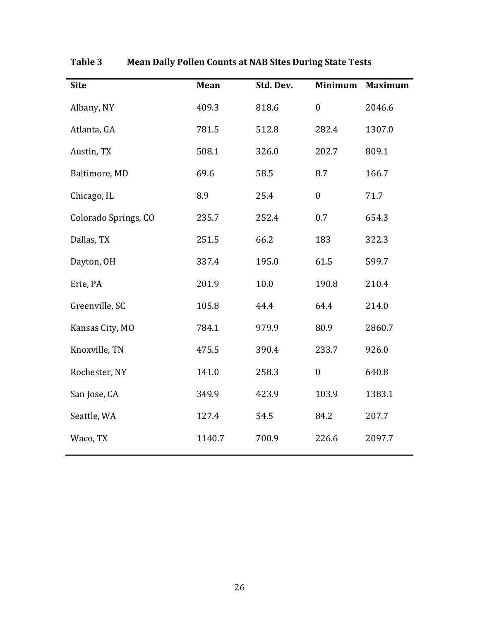| <b>Site</b>          | Mean   | Std. Dev. | <b>Minimum</b>   | <b>Maximum</b> |
|----------------------|--------|-----------|------------------|----------------|
| Albany, NY           | 409.3  | 818.6     | $\boldsymbol{0}$ | 2046.6         |
| Atlanta, GA          | 781.5  | 512.8     | 282.4            | 1307.0         |
| Austin, TX           | 508.1  | 326.0     | 202.7            | 809.1          |
| Baltimore, MD        | 69.6   | 58.5      | 8.7              | 166.7          |
| Chicago, IL          | 8.9    | 25.4      | $\boldsymbol{0}$ | 71.7           |
| Colorado Springs, CO | 235.7  | 252.4     | 0.7              | 654.3          |
| Dallas, TX           | 251.5  | 66.2      | 183              | 322.3          |
| Dayton, OH           | 337.4  | 195.0     | 61.5             | 599.7          |
| Erie, PA             | 201.9  | 10.0      | 190.8            | 210.4          |
| Greenville, SC       | 105.8  | 44.4      | 64.4             | 214.0          |
| Kansas City, MO      | 784.1  | 979.9     | 80.9             | 2860.7         |
| Knoxville, TN        | 475.5  | 390.4     | 233.7            | 926.0          |
| Rochester, NY        | 141.0  | 258.3     | $\boldsymbol{0}$ | 640.8          |
| San Jose, CA         | 349.9  | 423.9     | 103.9            | 1383.1         |
| Seattle, WA          | 127.4  | 54.5      | 84.2             | 207.7          |
| Waco, TX             | 1140.7 | 700.9     | 226.6            | 2097.7         |

**Table 3 Mean Daily Pollen Counts at NAB Sites During State Tests**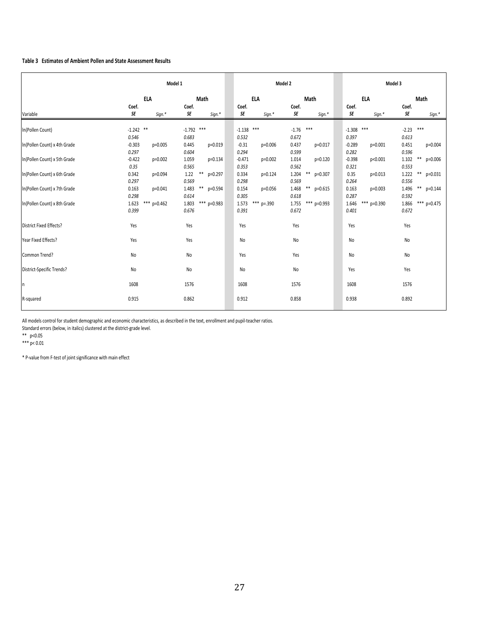#### Table 3 Estimates of Ambient Pollen and State Assessment Results

|                              |                             | Model 1                   | Model 2                                                     | Model 3                                                                 |  |  |
|------------------------------|-----------------------------|---------------------------|-------------------------------------------------------------|-------------------------------------------------------------------------|--|--|
|                              | <b>ELA</b>                  | Math                      | <b>ELA</b><br>Math                                          | <b>ELA</b><br>Math                                                      |  |  |
|                              | Coef.                       | Coef.                     | Coef.<br>Coef.                                              | Coef.<br>Coef.                                                          |  |  |
| Variable                     | SE<br>Sign.*                | SE<br>Sign.*              | SE<br>SE<br>Sign.*<br>Sign.*                                | SE<br>SE<br>Sign.*<br>Sign.*                                            |  |  |
| In(Pollen Count)             | $-1.242$ **                 | $-1.792$ ***              | $***$<br>$***$<br>$-1.138$<br>$-1.76$                       | ***<br>***<br>$-1.308$<br>$-2.23$                                       |  |  |
|                              | 0.546                       | 0.683                     | 0.532<br>0.672                                              | 0.397<br>0.613                                                          |  |  |
| In(Pollen Count) x 4th Grade | $-0.303$<br>p=0.005         | 0.445<br>p=0.019          | $-0.31$<br>0.437<br>$p=0.006$<br>p=0.017                    | $-0.289$<br>0.451<br>$p=0.001$<br>p=0.004                               |  |  |
|                              | 0.297                       | 0.604                     | 0.294<br>0.599                                              | 0.282<br>0.596                                                          |  |  |
| In(Pollen Count) x 5th Grade | $-0.422$<br>p=0.002<br>0.35 | 1.059<br>p=0.134<br>0.565 | $-0.471$<br>1.014<br>p=0.002<br>$p=0.120$<br>0.562<br>0.353 | $\ast\ast$<br>$-0.398$<br>1.102<br>p=0.006<br>p<0.001<br>0.321<br>0.553 |  |  |
| In(Pollen Count) x 6th Grade | 0.342<br>p=0.094            | 1.22<br>**<br>p=0.297     | **<br>1.204<br>0.334<br>p=0.124<br>p=0.307                  | **<br>0.35<br>1.222<br>$p=0.013$<br>p=0.031                             |  |  |
|                              | 0.297                       | 0.569                     | 0.298<br>0.569                                              | 0.264<br>0.556                                                          |  |  |
| In(Pollen Count) x 7th Grade | 0.163<br>p=0.041            | $***$<br>1.483<br>p=0.594 | $\ast\ast$<br>0.154<br>1.468<br>p=0.056<br>$p=0.615$        | $\ast\ast$<br>0.163<br>1.496<br>$p=0.003$<br>$p=0.144$                  |  |  |
|                              | 0.298                       | 0.614                     | 0.305<br>0.618                                              | 0.287<br>0.592                                                          |  |  |
| In(Pollen Count) x 8th Grade | $***$<br>1.623<br>$p=0.462$ | *** p=0.983<br>1.803      | *** p=.390<br>*** p=0.993<br>1.573<br>1.755                 | *** p=0.475<br>1.646<br>*** p=0.390<br>1.866                            |  |  |
|                              | 0.399                       | 0.676                     | 0.672<br>0.391                                              | 0.401<br>0.672                                                          |  |  |
| District Fixed Effects?      | Yes                         | Yes                       | Yes<br>Yes                                                  | Yes<br>Yes                                                              |  |  |
| Year Fixed Effects?          | Yes                         | Yes                       | N <sub>o</sub><br>No                                        | N <sub>o</sub><br>No                                                    |  |  |
| Common Trend?                | No                          | No                        | Yes<br>Yes                                                  | No<br>No                                                                |  |  |
| District-Specific Trends?    | No                          | No                        | No<br>No                                                    | Yes<br>Yes                                                              |  |  |
| n                            | 1608                        | 1576                      | 1608<br>1576                                                | 1608<br>1576                                                            |  |  |
| R-squared                    | 0.915                       | 0.862                     | 0.912<br>0.858                                              | 0.892<br>0.938                                                          |  |  |
|                              |                             |                           |                                                             |                                                                         |  |  |

All models control for student demographic and economic characteristics, as described in the text, enrollment and pupil-teacher ratios.

Standard errors (below, in italics) clustered at the district-grade level.

\*\*,,,p<0.05

\*\*\* p< 0.01

 $*$  P-value from F-test of joint significance with main effect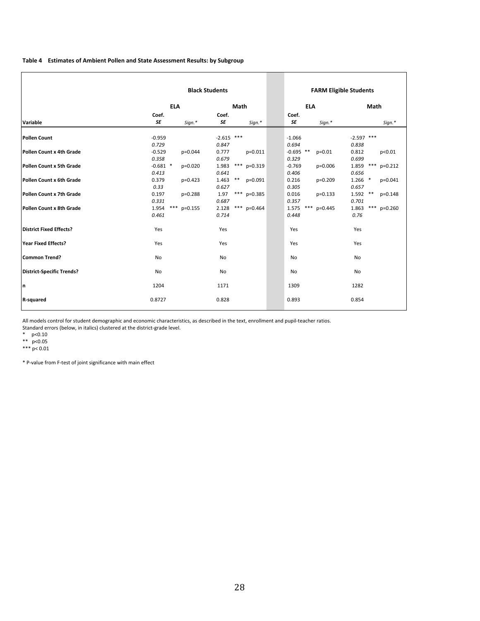#### Table 4 Estimates of Ambient Pollen and State Assessment Results: by Subgroup

|                                  | <b>Black Students</b> |           |              |                    | <b>FARM Eligible Students</b> |           |                |               |
|----------------------------------|-----------------------|-----------|--------------|--------------------|-------------------------------|-----------|----------------|---------------|
|                                  | <b>ELA</b>            |           | Math         |                    | <b>ELA</b>                    |           | Math           |               |
|                                  | Coef.                 |           | Coef.        |                    | Coef.                         |           |                |               |
| Variable                         | SE                    | Sign.*    | SE           | Sign.*             | SE                            | Sign.*    |                | Sign.*        |
| Pollen Count                     | $-0.959$              |           | $-2.615$ *** |                    | $-1.066$                      |           | $-2.597$ ***   |               |
|                                  | 0.729                 |           | 0.847        |                    | 0.694                         |           | 0.838          |               |
| Pollen Count x 4th Grade         | $-0.529$              | p=0.044   | 0.777        | $p=0.011$          | $-0.695$ **                   | $p=0.01$  | 0.812          | p<0.01        |
|                                  | 0.358                 |           | 0.679        |                    | 0.329                         |           | 0.699          |               |
| Pollen Count x 5th Grade         | $-0.681$ *            | $p=0.020$ | 1.983        | *** $p=0.319$      | $-0.769$                      | $p=0.006$ | 1.859<br>***   | $p=0.212$     |
|                                  | 0.413                 |           | 0.641        |                    | 0.406                         |           | 0.656          |               |
| Pollen Count x 6th Grade         | 0.379                 | p=0.423   | 1.463        | $***$<br>$p=0.091$ | 0.216                         | p=0.209   | $1.266$ *      | $p=0.041$     |
|                                  | 0.33                  |           | 0.627        |                    | 0.305                         |           | 0.657          |               |
| Pollen Count x 7th Grade         | 0.197                 | $p=0.288$ | 1.97         | $***$<br>$p=0.385$ | 0.016                         | $p=0.133$ | 1.592<br>$***$ | $p=0.148$     |
|                                  | 0.331                 |           | 0.687        |                    | 0.357                         |           | 0.701          |               |
| Pollen Count x 8th Grade         | $***$<br>1.954        | $p=0.155$ | 2.128        | *** $p=0.464$      | ***<br>1.575                  | $p=0.445$ | 1.863          | *** $p=0.260$ |
|                                  | 0.461                 |           | 0.714        |                    | 0.448                         |           | 0.76           |               |
| District Fixed Effects?          | Yes                   |           | Yes          |                    | Yes                           |           | Yes            |               |
|                                  |                       |           |              |                    |                               |           |                |               |
| Year Fixed Effects?              | Yes                   |           | Yes          |                    | Yes                           |           | Yes            |               |
| Common Trend?                    | No                    |           | No           |                    | No                            |           | No             |               |
| <b>District-Specific Trends?</b> | <b>No</b>             |           | No           |                    | <b>No</b>                     |           | No             |               |
|                                  |                       |           |              |                    |                               |           |                |               |
| n                                | 1204                  |           | 1171         |                    | 1309                          |           | 1282           |               |
| R-squared                        | 0.8727                |           | 0.828        |                    | 0.893                         |           | 0.854          |               |
|                                  |                       |           |              |                    |                               |           |                |               |

All models control for student demographic and economic characteristics, as described in the text, enrollment and pupil-teacher ratios.

Standard errors (below, in italics) clustered at the district-grade level.

 $*$  p<0.10

\*\*  $p < 0.05$ 

\*\*\*  $p < 0.01$ 

\*&P!value&from&F!test&of&joint&significance&with&main&effect